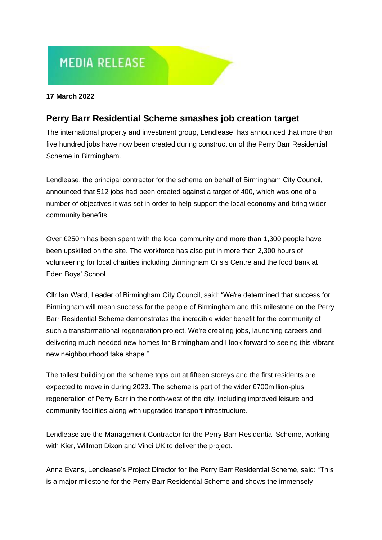# **MEDIA RELEASE**

#### **17 March 2022**

# **Perry Barr Residential Scheme smashes job creation target**

The international property and investment group, Lendlease, has announced that more than five hundred jobs have now been created during construction of the Perry Barr Residential Scheme in Birmingham.

Lendlease, the principal contractor for the scheme on behalf of Birmingham City Council, announced that 512 jobs had been created against a target of 400, which was one of a number of objectives it was set in order to help support the local economy and bring wider community benefits.

Over £250m has been spent with the local community and more than 1,300 people have been upskilled on the site. The workforce has also put in more than 2,300 hours of volunteering for local charities including Birmingham Crisis Centre and the food bank at Eden Boys' School.

Cllr Ian Ward, Leader of Birmingham City Council, said: "We're determined that success for Birmingham will mean success for the people of Birmingham and this milestone on the Perry Barr Residential Scheme demonstrates the incredible wider benefit for the community of such a transformational regeneration project. We're creating jobs, launching careers and delivering much-needed new homes for Birmingham and I look forward to seeing this vibrant new neighbourhood take shape."

The tallest building on the scheme tops out at fifteen storeys and the first residents are expected to move in during 2023. The scheme is part of the wider £700million-plus regeneration of Perry Barr in the north-west of the city, including improved leisure and community facilities along with upgraded transport infrastructure.

Lendlease are the Management Contractor for the Perry Barr Residential Scheme, working with Kier, Willmott Dixon and Vinci UK to deliver the project.

Anna Evans, Lendlease's Project Director for the Perry Barr Residential Scheme, said: "This is a major milestone for the Perry Barr Residential Scheme and shows the immensely